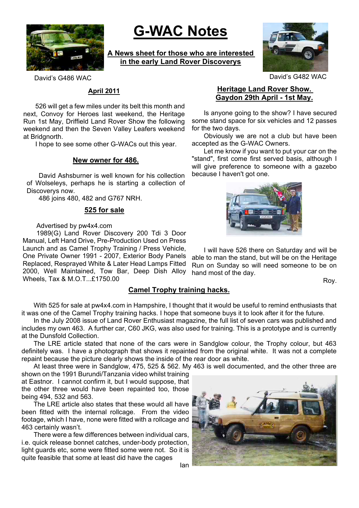

# **G-WAC Notes**

**A News sheet for those who are interested in the early Land Rover Discoverys**



David's G486 WAC David's G482 WAC

#### **April 2011**

526 will get a few miles under its belt this month and next, Convoy for Heroes last weekend, the Heritage Run 1st May, Driffield Land Rover Show the following weekend and then the Seven Valley Leafers weekend at Bridgnorth.

I hope to see some other G-WACs out this year.

#### **New owner for 486.**

David Ashsburner is well known for his collection of Wolseleys, perhaps he is starting a collection of Discoverys now.

486 joins 480, 482 and G767 NRH.

#### **525 for sale**

Advertised by pw4x4.com

1989(G) Land Rover Discovery 200 Tdi 3 Door Manual, Left Hand Drive, Pre-Production Used on Press Launch and as Camel Trophy Training / Press Vehicle,

One Private Owner 1991 - 2007, Exterior Body Panels Replaced, Resprayed White & Later Head Lamps Fitted 2000, Well Maintained, Tow Bar, Deep Dish Alloy Wheels, Tax & M.O.T...£1750.00

## **Camel Trophy training hacks.**

## **Heritage Land Rover Show. Gaydon 29th April - 1st May.**

Is anyone going to the show? I have secured some stand space for six vehicles and 12 passes for the two days.

Obviously we are not a club but have been accepted as the G-WAC Owners.

Let me know if you want to put your car on the "stand", first come first served basis, although I will give preference to someone with a gazebo because I haven't got one.



I will have 526 there on Saturday and will be able to man the stand, but will be on the Heritage Run on Sunday so will need someone to be on hand most of the day.

Roy.

With 525 for sale at pw4x4.com in Hampshire, I thought that it would be useful to remind enthusiasts that it was one of the Camel Trophy training hacks. I hope that someone buys it to look after it for the future.

In the July 2008 issue of Land Rover Enthusiast magazine, the full list of seven cars was published and includes my own 463. A further car, C60 JKG, was also used for training. This is a prototype and is currently at the Dunsfold Collection.

The LRE article stated that none of the cars were in Sandglow colour, the Trophy colour, but 463 definitely was. I have a photograph that shows it repainted from the original white. It was not a complete repaint because the picture clearly shows the inside of the rear door as white.

At least three were in Sandglow, 475, 525 & 562. My 463 is well documented, and the other three are

shown on the 1991 Burundi/Tanzania video whilst training at Eastnor. I cannot confirm it, but I would suppose, that the other three would have been repainted too, those being 494, 532 and 563.

The LRE article also states that these would all have been fitted with the internal rollcage. From the video footage, which I have, none were fitted with a rollcage and 463 certainly wasn't.

There were a few differences between individual cars, i.e. quick release bonnet catches, under-body protection, light guards etc, some were fitted some were not. So it is quite feasible that some at least did have the cages

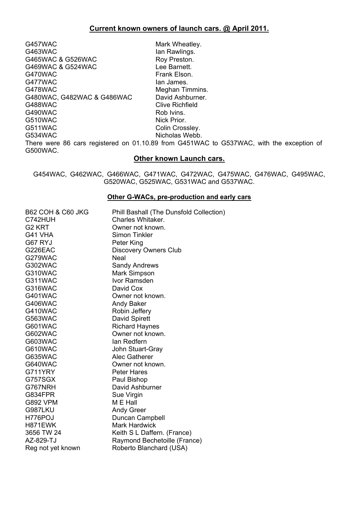G457WAC Mark Wheatley. G463WAC Ian Rawlings. G465WAC & G526WAC Roy Preston.<br>G469WAC & G524WAC CONDUCTED Ree Barnett. G469WAC & G524WAC G470WAC Frank Elson. G477WAC lan James. G478WAC<br>G480WAC. G482WAC & G486WAC David Ashburner. G480WAC, G482WAC & G486WAC G488WAC Clive Richfield G490WAC Rob Ivins. G510WAC Nick Prior. G511WAC Colin Crossley. G534WAC Nicholas Webb.

There were 86 cars registered on 01.10.89 from G451WAC to G537WAC, with the exception of G500WAC.

## **Other known Launch cars.**

G454WAC, G462WAC, G466WAC, G471WAC, G472WAC, G475WAC, G476WAC, G495WAC, G520WAC, G525WAC, G531WAC and G537WAC.

#### **Other G-WACs, pre-production and early cars**

| <b>B62 COH &amp; C60 JKG</b> | Phill Bashall (The Dunsfold Collection) |
|------------------------------|-----------------------------------------|
| C742HUH                      | Charles Whitaker.                       |
| G <sub>2</sub> KRT           | Owner not known.                        |
| G41 VHA                      | <b>Simon Tinkler</b>                    |
| G67 RYJ                      | Peter King                              |
| G226EAC                      | <b>Discovery Owners Club</b>            |
| G279WAC                      | Neal                                    |
| G302WAC                      | <b>Sandy Andrews</b>                    |
| G310WAC                      | Mark Simpson                            |
| G311WAC                      | Ivor Ramsden                            |
| G316WAC                      | David Cox                               |
| G401WAC                      | Owner not known.                        |
| G406WAC                      | <b>Andy Baker</b>                       |
| G410WAC                      | Robin Jeffery                           |
| G563WAC                      | David Spirett                           |
| G601WAC                      | <b>Richard Haynes</b>                   |
| G602WAC                      | Owner not known.                        |
| G603WAC                      | lan Redfern                             |
| G610WAC                      | John Stuart-Gray                        |
| G635WAC                      | Alec Gatherer                           |
| G640WAC                      | Owner not known.                        |
| G711YRY                      | <b>Peter Hares</b>                      |
| G757SGX                      | Paul Bishop                             |
| G767NRH                      | David Ashburner                         |
| G834FPR                      | Sue Virgin                              |
| <b>G892 VPM</b>              | M E Hall                                |
| G987LKU                      | <b>Andy Greer</b>                       |
| H776POJ                      | Duncan Campbell                         |
| H871EWK                      | <b>Mark Hardwick</b>                    |
| 3656 TW 24                   | Keith S L Daffern. (France)             |
| AZ-829-TJ                    | Raymond Bechetoille (France)            |
| Reg not yet known            | Roberto Blanchard (USA)                 |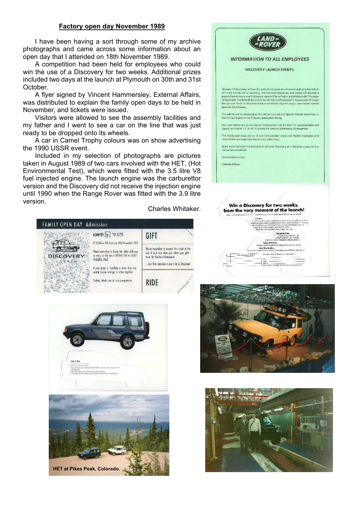#### **Factory open day November 1989**

I have been having a sort through some of my archive photographs and came across some information about an open day that I attended on 18th November 1989.

A competition had been held for employees who could win the use of a Discovery for two weeks. Additional prizes included two days at the launch at Plymouth on 30th and 31st October.

A flyer signed by Vincent Hammersley, External Affairs, was distributed to explain the family open days to be held in November, and tickets were issued.

Visitors were allowed to see the assembly facilities and my father and I went to see a car on the line that was just ready to be dropped onto its wheels.

A car in Camel Trophy colours was on show advertising the 1990 USSR event.

Included in my selection of photographs are pictures taken in August 1989 of two cars involved with the HET, (Hot Environmental Test), which were fitted with the 3.5 litre V8 fuel injected engine. The launch engine was the carburettor version and the Discovery did not receive the injection engine until 1990 when the Range Rover was fitted with the 3.9 litre version.

Charles Whitaker.